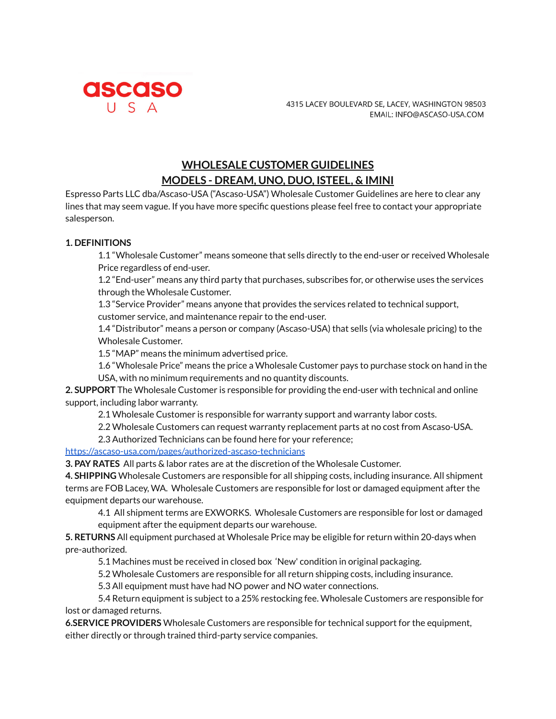

## **WHOLESALE CUSTOMER GUIDELINES MODELS - DREAM, UNO, DUO, ISTEEL, & IMINI**

Espresso Parts LLC dba/Ascaso-USA ("Ascaso-USA") Wholesale Customer Guidelines are here to clear any lines that may seem vague. If you have more specific questions please feel free to contact your appropriate salesperson.

## **1. DEFINITIONS**

1.1 "Wholesale Customer" means someone that sells directly to the end-user or received Wholesale Price regardless of end-user.

1.2 "End-user" means any third party that purchases, subscribes for, or otherwise uses the services through the Wholesale Customer.

1.3 "Service Provider" means anyone that provides the services related to technical support, customer service, and maintenance repair to the end-user.

1.4 "Distributor" means a person or company (Ascaso-USA) that sells (via wholesale pricing) to the Wholesale Customer.

1.5 "MAP" means the minimum advertised price.

1.6 "Wholesale Price" means the price a Wholesale Customer pays to purchase stock on hand in the USA, with no minimum requirements and no quantity discounts.

**2. SUPPORT** The Wholesale Customer is responsible for providing the end-user with technical and online support, including labor warranty.

2.1 Wholesale Customer is responsible for warranty support and warranty labor costs.

2.2 Wholesale Customers can request warranty replacement parts at no cost from Ascaso-USA.

2.3 Authorized Technicians can be found here for your reference;

<https://ascaso-usa.com/pages/authorized-ascaso-technicians>

**3. PAY RATES** All parts & labor rates are at the discretion of the Wholesale Customer.

**4. SHIPPING** Wholesale Customers are responsible for all shipping costs, including insurance. All shipment terms are FOB Lacey, WA. Wholesale Customers are responsible for lost or damaged equipment after the equipment departs our warehouse.

4.1 All shipment terms are EXWORKS. Wholesale Customers are responsible for lost or damaged equipment after the equipment departs our warehouse.

**5. RETURNS** All equipment purchased at Wholesale Price may be eligible for return within 20-days when pre-authorized.

5.1 Machines must be received in closed box 'New' condition in original packaging.

5.2 Wholesale Customers are responsible for all return shipping costs, including insurance.

5.3 All equipment must have had NO power and NO water connections.

5.4 Return equipment is subject to a 25% restocking fee. Wholesale Customers are responsible for lost or damaged returns.

**6.SERVICE PROVIDERS** Wholesale Customers are responsible for technical support for the equipment, either directly or through trained third-party service companies.